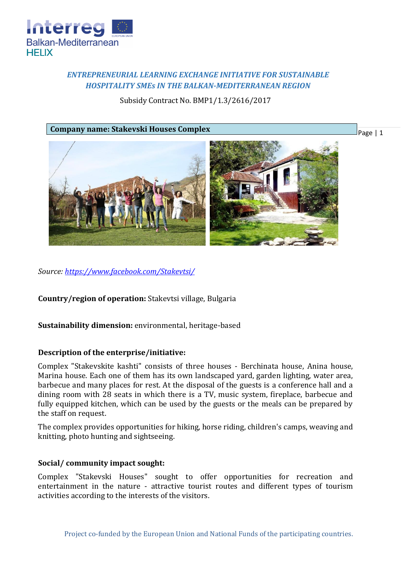

## *ENTREPRENEURIAL LEARNING EXCHANGE INITIATIVE FOR SUSTAINABLE HOSPITALITY SMEs IN THE BALKAN-MEDITERRANEAN REGION*

Subsidy Contract No. BMP1/1.3/2616/2017

#### **Company name: Stakevski Houses Complex**

Page | 1



*Source:<https://www.facebook.com/Stakevtsi/>*

**Country/region of operation:** Stakevtsi village, Bulgaria

**Sustainability dimension:** environmental, heritage-based

#### **Description of the enterprise/initiative:**

Complex "Stakevskite kashti" consists of three houses - Berchinata house, Anina house, Marina house. Each one of them has its own landscaped yard, garden lighting, water area, barbecue and many places for rest. At the disposal of the guests is a conference hall and a dining room with 28 seats in which there is a TV, music system, fireplace, barbecue and fully equipped kitchen, which can be used by the guests or the meals can be prepared by the staff on request.

The complex provides opportunities for hiking, horse riding, children's camps, weaving and knitting, photo hunting and sightseeing.

#### **Social/ community impact sought:**

Complex "Stakevski Houses" sought to offer opportunities for recreation and entertainment in the nature - attractive tourist routes and different types of tourism activities according to the interests of the visitors.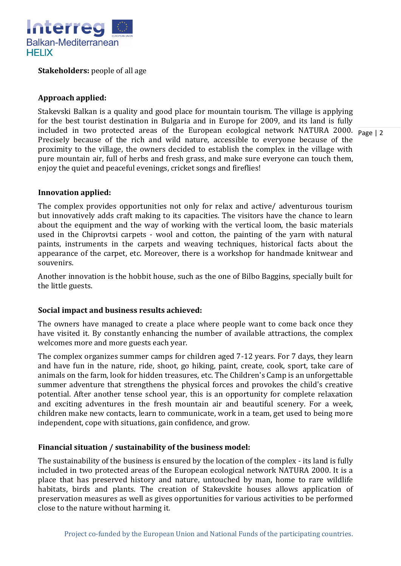

**Stakeholders:** people of all age

### **Approach applied:**

included in two protected areas of the European ecological network NATURA 2000. Page 2 Stakevski Balkan is a quality and good place for mountain tourism. The village is applying for the best tourist destination in Bulgaria and in Europe for 2009, and its land is fully Precisely because of the rich and wild nature, accessible to everyone because of the proximity to the village, the owners decided to establish the complex in the village with pure mountain air, full of herbs and fresh grass, and make sure everyone can touch them, enjoy the quiet and peaceful evenings, cricket songs and fireflies!

# **Innovation applied:**

The complex provides opportunities not only for relax and active/ adventurous tourism but innovatively adds craft making to its capacities. The visitors have the chance to learn about the equipment and the way of working with the vertical loom, the basic materials used in the Chiprovtsi carpets - wool and cotton, the painting of the yarn with natural paints, instruments in the carpets and weaving techniques, historical facts about the appearance of the carpet, etc. Moreover, there is a workshop for handmade knitwear and souvenirs.

Another innovation is the hobbit house, such as the one of Bilbo Baggins, specially built for the little guests.

#### **Social impact and business results achieved:**

The owners have managed to create a place where people want to come back once they have visited it. By constantly enhancing the number of available attractions, the complex welcomes more and more guests each year.

The complex organizes summer camps for children aged 7-12 years. For 7 days, they learn and have fun in the nature, ride, shoot, go hiking, paint, create, cook, sport, take care of animals on the farm, look for hidden treasures, etc. The Children's Camp is an unforgettable summer adventure that strengthens the physical forces and provokes the child's creative potential. After another tense school year, this is an opportunity for complete relaxation and exciting adventures in the fresh mountain air and beautiful scenery. For a week, children make new contacts, learn to communicate, work in a team, get used to being more independent, cope with situations, gain confidence, and grow.

#### **Financial situation / sustainability of the business model:**

The sustainability of the business is ensured by the location of the complex - its land is fully included in two protected areas of the European ecological network NATURA 2000. It is a place that has preserved history and nature, untouched by man, home to rare wildlife habitats, birds and plants. The creation of Stakevskite houses allows application of preservation measures as well as gives opportunities for various activities to be performed close to the nature without harming it.